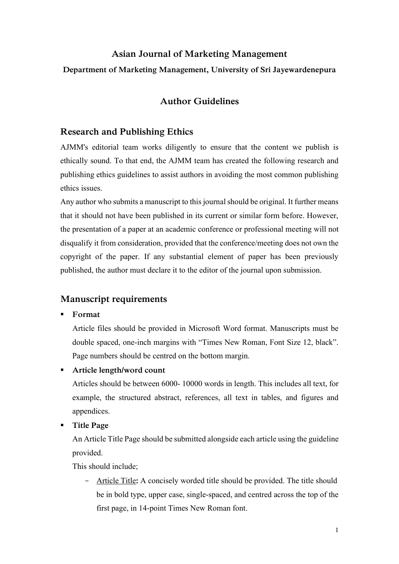# **Asian Journal of Marketing Management**

## **Department of Marketing Management, University of Sri Jayewardenepura**

# **Author Guidelines**

## **Research and Publishing Ethics**

AJMM's editorial team works diligently to ensure that the content we publish is ethically sound. To that end, the AJMM team has created the following research and publishing ethics guidelines to assist authors in avoiding the most common publishing ethics issues.

Any author who submits a manuscript to this journal should be original. It further means that it should not have been published in its current or similar form before. However, the presentation of a paper at an academic conference or professional meeting will not disqualify it from consideration, provided that the conference/meeting does not own the copyright of the paper. If any substantial element of paper has been previously published, the author must declare it to the editor of the journal upon submission.

## **Manuscript requirements**

▪ **Format**

Article files should be provided in Microsoft Word format. Manuscripts must be double spaced, one-inch margins with "Times New Roman, Font Size 12, black". Page numbers should be centred on the bottom margin.

▪ **Article length/word count**

Articles should be between 6000- 10000 words in length. This includes all text, for example, the structured abstract, references, all text in tables, and figures and appendices.

▪ **Title Page**

An Article Title Page should be submitted alongside each article using the guideline provided.

This should include;

- Article Title**:** A concisely worded title should be provided. The title should be in bold type, upper case, single-spaced, and centred across the top of the first page, in 14-point Times New Roman font.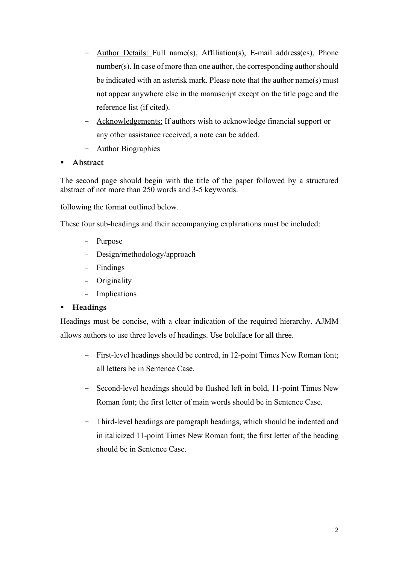- Author Details: Full name(s), Affiliation(s), E-mail address(es), Phone number(s). In case of more than one author, the corresponding author should be indicated with an asterisk mark. Please note that the author name(s) must not appear anywhere else in the manuscript except on the title page and the reference list (if cited).
- Acknowledgements: If authors wish to acknowledge financial support or any other assistance received, a note can be added.
- Author Biographies
- **Abstract**

The second page should begin with the title of the paper followed by a structured abstract of not more than 250 words and 3-5 keywords.

following the format outlined below.

These four sub-headings and their accompanying explanations must be included:

- Purpose
- Design/methodology/approach
- Findings
- Originality
- Implications

## ▪ **Headings**

Headings must be concise, with a clear indication of the required hierarchy. AJMM allows authors to use three levels of headings. Use boldface for all three.

- First-level headings should be centred, in 12-point Times New Roman font; all letters be in Sentence Case.
- Second-level headings should be flushed left in bold, 11-point Times New Roman font; the first letter of main words should be in Sentence Case.
- Third-level headings are paragraph headings, which should be indented and in italicized 11-point Times New Roman font; the first letter of the heading should be in Sentence Case.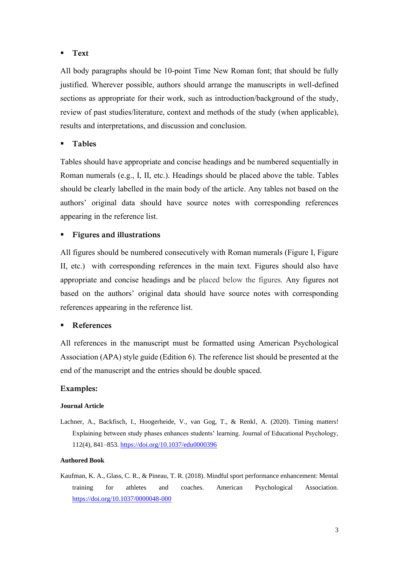### ▪ **Text**

All body paragraphs should be 10-point Time New Roman font; that should be fully justified. Wherever possible, authors should arrange the manuscripts in well-defined sections as appropriate for their work, such as introduction/background of the study, review of past studies/literature, context and methods of the study (when applicable), results and interpretations, and discussion and conclusion.

## ▪ **Tables**

Tables should have appropriate and concise headings and be numbered sequentially in Roman numerals (e.g., I, II, etc.). Headings should be placed above the table. Tables should be clearly labelled in the main body of the article. Any tables not based on the authors' original data should have source notes with corresponding references appearing in the reference list.

## **Figures and illustrations**

All figures should be numbered consecutively with Roman numerals (Figure I, Figure II, etc.) with corresponding references in the main text. Figures should also have appropriate and concise headings and be placed below the figures. Any figures not based on the authors' original data should have source notes with corresponding references appearing in the reference list.

### **References**

All references in the manuscript must be formatted using American Psychological Association (APA) style guide (Edition 6). The reference list should be presented at the end of the manuscript and the entries should be double spaced.

### **Examples:**

#### **Journal Article**

Lachner, A., Backfisch, I., Hoogerheide, V., van Gog, T., & Renkl, A. (2020). Timing matters! Explaining between study phases enhances students' learning. Journal of Educational Psychology, 112(4), 841–853[. https://doi.org/10.1037/edu0000396](https://doi.org/10.1037/edu0000396)

#### **Authored Book**

Kaufman, K. A., Glass, C. R., & Pineau, T. R. (2018). Mindful sport performance enhancement: Mental training for athletes and coaches. American Psychological Association. <https://doi.org/10.1037/0000048-000>